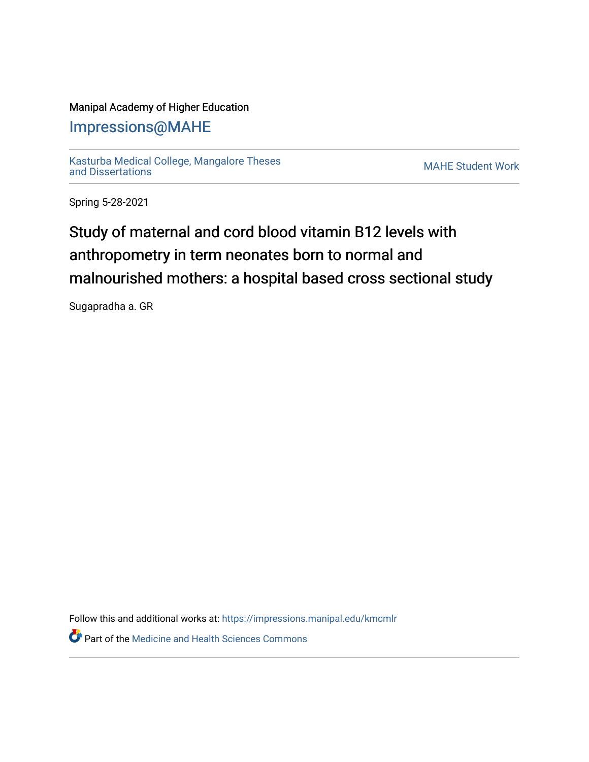### Manipal Academy of Higher Education

# [Impressions@MAHE](https://impressions.manipal.edu/)

[Kasturba Medical College, Mangalore Theses](https://impressions.manipal.edu/kmcmlr) [and Dissertations](https://impressions.manipal.edu/kmcmlr) [MAHE Student Work](https://impressions.manipal.edu/student-work) 

Spring 5-28-2021

# Study of maternal and cord blood vitamin B12 levels with anthropometry in term neonates born to normal and malnourished mothers: a hospital based cross sectional study

Sugapradha a. GR

Follow this and additional works at: [https://impressions.manipal.edu/kmcmlr](https://impressions.manipal.edu/kmcmlr?utm_source=impressions.manipal.edu%2Fkmcmlr%2F170&utm_medium=PDF&utm_campaign=PDFCoverPages) 

**Part of the Medicine and Health Sciences Commons**